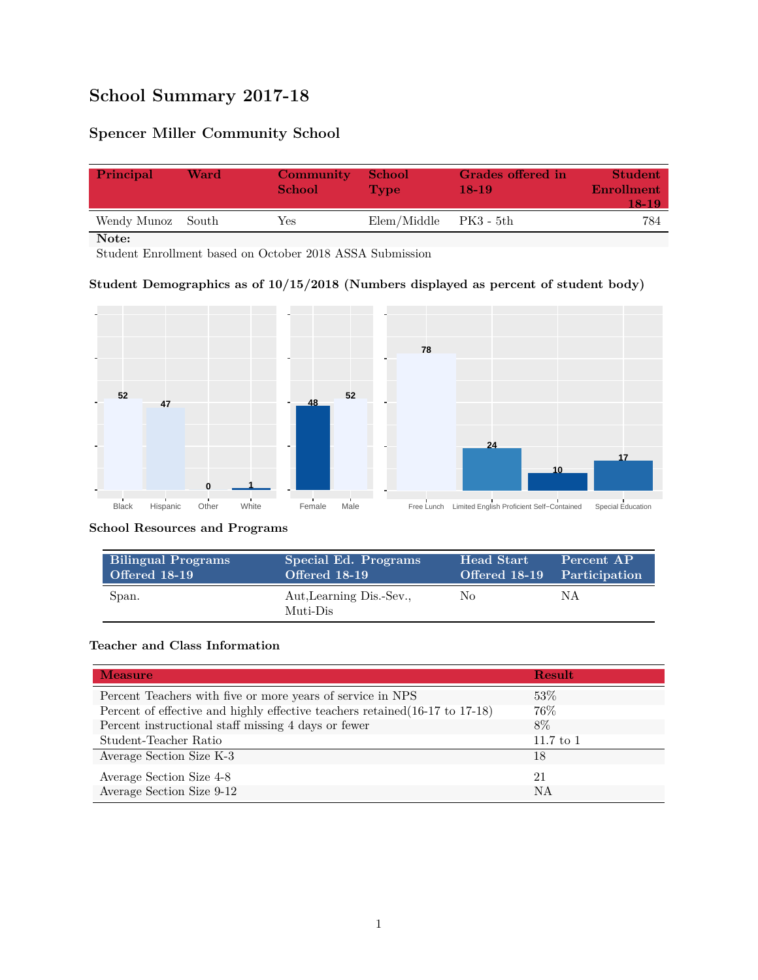# **School Summary 2017-18**

## **Spencer Miller Community School**

| Principal         | Ward | Community<br><b>School</b> | <b>School</b><br><b>Type</b> | Grades offered in<br>$18-19$ | <b>Student</b><br><b>Enrollment</b><br>18-19 |
|-------------------|------|----------------------------|------------------------------|------------------------------|----------------------------------------------|
| Wendy Munoz South |      | Yes                        | Elem/Middle                  | PK3 - 5th                    | 784                                          |

**Note:**

Student Enrollment based on October 2018 ASSA Submission

#### **Student Demographics as of 10/15/2018 (Numbers displayed as percent of student body)**



#### **School Resources and Programs**

| <b>Bilingual Programs</b> | Special Ed. Programs                 | Head Start                  | Percent AP |
|---------------------------|--------------------------------------|-----------------------------|------------|
| Offered 18-19             | Offered 18-19                        | Offered 18-19 Participation |            |
| Span.                     | Aut, Learning Dis.-Sev.,<br>Muti-Dis | No                          | ΝA         |

#### **Teacher and Class Information**

| <b>Measure</b>                                                               | Result        |
|------------------------------------------------------------------------------|---------------|
| Percent Teachers with five or more years of service in NPS                   | 53\%          |
| Percent of effective and highly effective teachers retained (16-17 to 17-18) | $76\%$        |
| Percent instructional staff missing 4 days or fewer                          | 8%            |
| Student-Teacher Ratio                                                        | $11.7$ to $1$ |
| Average Section Size K-3                                                     | 18            |
| Average Section Size 4-8                                                     | -21           |
| Average Section Size 9-12                                                    | NA            |